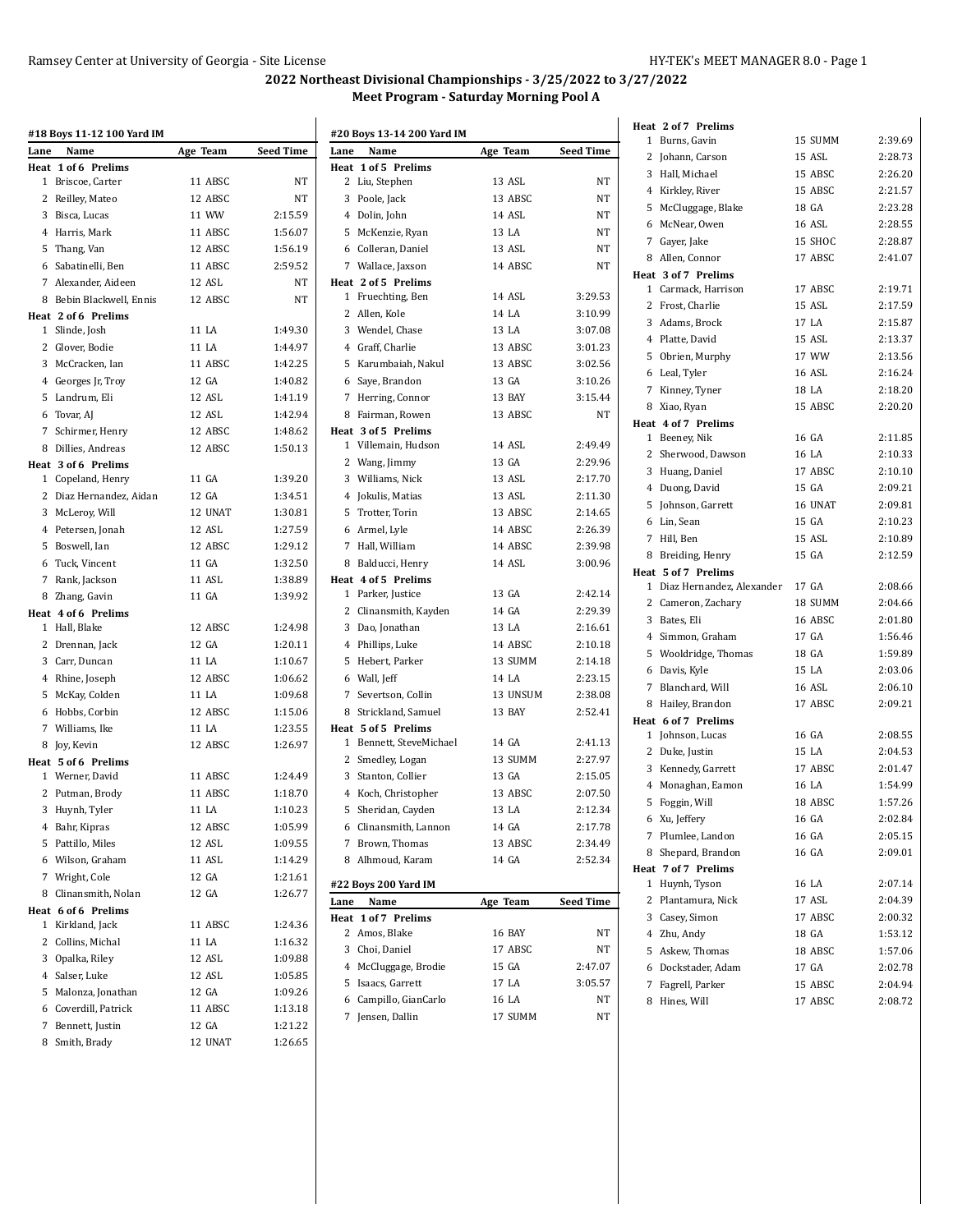#### Ramsey Center at University of Georgia - Site License HY-TEK's MEET MANAGER 8.0 - Page 1

# **2022 Northeast Divisional Championships - 3/25/2022 to 3/27/2022 Meet Program - Saturday Morning Pool A**

|      | #18 Boys 11-12 100 Yard IM |          |           |
|------|----------------------------|----------|-----------|
| Lane | Name                       | Age Team | Seed Time |
| Heat | 1 of 6 Prelims             |          |           |
|      | 1 Briscoe, Carter          | 11 ABSC  | NT        |
|      | 2 Reilley, Mateo           | 12 ABSC  | NT        |
|      | 3 Bisca, Lucas             | 11 WW    | 2:15.59   |
|      | 4 Harris, Mark             | 11 ABSC  | 1:56.07   |
|      | 5 Thang, Van               | 12 ABSC  | 1:56.19   |
|      | 6 Sabatinelli, Ben         | 11 ABSC  | 2:59.52   |
|      | 7 Alexander, Aideen        | 12 ASL   | NT        |
|      | 8 Bebin Blackwell, Ennis   | 12 ABSC  | <b>NT</b> |
|      | Heat 2 of 6 Prelims        |          |           |
|      | 1 Slinde, Josh             | 11 LA    | 1:49.30   |
|      | 2 Glover, Bodie            | 11 LA    | 1:44.97   |
|      | 3 McCracken, Ian           | 11 ABSC  | 1:42.25   |
|      | 4 Georges Jr, Troy         | 12 GA    | 1:40.82   |
|      | 5 Landrum, Eli             | 12 ASL   | 1:41.19   |
|      | 6 Tovar, AJ                | 12 ASL   | 1:42.94   |
|      | 7 Schirmer, Henry          | 12 ABSC  | 1:48.62   |
|      | 8 Dillies, Andreas         | 12 ABSC  | 1:50.13   |
|      | Heat 3 of 6 Prelims        |          |           |
|      | 1 Copeland, Henry          | 11 GA    | 1:39.20   |
|      | 2 Diaz Hernandez, Aidan    | 12 GA    | 1:34.51   |
|      |                            |          | 1:30.81   |
|      | 3 McLeroy, Will            | 12 UNAT  |           |
|      | 4 Petersen, Jonah          | 12 ASL   | 1:27.59   |
|      | 5 Boswell, Ian             | 12 ABSC  | 1:29.12   |
|      | 6 Tuck, Vincent            | 11 GA    | 1:32.50   |
|      | 7 Rank, Jackson            | 11 ASL   | 1:38.89   |
|      | 8 Zhang, Gavin             | 11 GA    | 1:39.92   |
|      | Heat 4 of 6 Prelims        |          |           |
|      | 1 Hall, Blake              | 12 ABSC  | 1:24.98   |
|      | 2 Drennan, Jack            | 12 GA    | 1:20.11   |
|      | 3 Carr, Duncan             | 11 LA    | 1:10.67   |
|      | 4 Rhine, Joseph            | 12 ABSC  | 1:06.62   |
|      | 5 McKay, Colden            | 11 LA    | 1:09.68   |
|      | 6 Hobbs, Corbin            | 12 ABSC  | 1:15.06   |
|      | 7 Williams, Ike            | 11 LA    | 1:23.55   |
|      | 8 Jov, Kevin               | 12 ABSC  | 1:26.97   |
|      | Heat 5 of 6 Prelims        |          |           |
|      | 1 Werner, David            | 11 ABSC  | 1:24.49   |
|      | 2 Putman, Brody            | 11 ABSC  | 1:18.70   |
|      | 3 Huynh, Tyler             | 11 LA    | 1:10.23   |
|      | 4 Bahr, Kipras             | 12 ABSC  | 1:05.99   |
|      | 5 Pattillo, Miles          | 12 ASL   | 1:09.55   |
|      | 6 Wilson, Graham           | 11 ASL   | 1:14.29   |
|      | 7 Wright, Cole             | 12 GA    | 1:21.61   |
|      | 8 Clinansmith, Nolan       | 12 GA    | 1:26.77   |
|      | Heat 6 of 6 Prelims        |          |           |
| 1    | Kirkland, Jack             | 11 ABSC  | 1:24.36   |
|      | 2 Collins, Michal          | 11 LA    | 1:16.32   |
|      | 3 Opalka, Riley            | 12 ASL   | 1:09.88   |
|      | 4 Salser, Luke             | 12 ASL   | 1:05.85   |
|      | 5 Malonza, Jonathan        | 12 GA    | 1:09.26   |
|      | 6 Coverdill, Patrick       | 11 ABSC  | 1:13.18   |
|      |                            |          |           |
|      | 7 Bennett, Justin          | 12 GA    | 1:21.22   |
|      | 8 Smith, Brady             | 12 UNAT  | 1:26.65   |

|      | #20 Boys 13-14 200 Yard IM |          |                  | $1 \text{ } B$     |
|------|----------------------------|----------|------------------|--------------------|
| Lane | Name                       | Age Team | <b>Seed Time</b> | $2$ Jo             |
|      | Heat 1 of 5 Prelims        |          |                  | 3 H                |
|      | 2 Liu, Stephen             | 13 ASL   | NΤ               | 4 K                |
|      | 3 Poole, Jack              | 13 ABSC  | NΤ               | 5 M                |
|      | 4 Dolin, John              | 14 ASL   | NΤ               | 6 M                |
|      | 5 McKenzie, Ryan           | 13 LA    | NΤ               | 7 G                |
|      | 6 Colleran, Daniel         | 13 ASL   | NT               | 8 A                |
|      | 7 Wallace, Jaxson          | 14 ABSC  | NT               | Heat 3             |
|      | Heat 2 of 5 Prelims        |          |                  | 1 C                |
|      | 1 Fruechting, Ben          | 14 ASL   | 3:29.53          | 2 F                |
|      | 2 Allen, Kole              | 14 LA    | 3:10.99          | 3A                 |
|      | 3 Wendel, Chase            | 13 LA    | 3:07.08          | 4P                 |
|      | 4 Graff, Charlie           | 13 ABSC  | 3:01.23          | 5 0                |
|      | 5 Karumbaiah, Nakul        | 13 ABSC  | 3:02.56          | 6 L                |
|      | 6 Saye, Brandon            | 13 GA    | 3:10.26          | 7 K                |
|      | 7 Herring, Connor          | 13 BAY   | 3:15.44          | 8 X                |
|      | 8 Fairman, Rowen           | 13 ABSC  | NT               |                    |
|      | Heat 3 of 5 Prelims        |          |                  | Heat 4<br>$1 \, B$ |
|      | 1 Villemain, Hudson        | 14 ASL   | 2:49.49          | 2 SI               |
|      | 2 Wang, Jimmy              | 13 GA    | 2:29.96          | 3 H                |
|      | 3 Williams, Nick           | 13 ASL   | 2:17.70          | 4 D                |
|      | 4 Jokulis, Matias          | 13 ASL   | 2:11.30          |                    |
|      | 5 Trotter, Torin           | 13 ABSC  | 2:14.65          | 5 Jo               |
|      | 6 Armel, Lyle              | 14 ABSC  | 2:26.39          | 6 L                |
|      | 7 Hall, William            | 14 ABSC  | 2:39.98          | 7 H                |
|      | 8 Balducci, Henry          | 14 ASL   | 3:00.96          | 8 B                |
|      | Heat 4 of 5 Prelims        |          |                  | Heat 5             |
|      | 1 Parker, Justice          | 13 GA    | 2:42.14          | 1 D                |
|      | 2 Clinansmith, Kayden      | 14 GA    | 2:29.39          | 2 C                |
|      | 3 Dao, Jonathan            | 13 LA    | 2:16.61          | 3 <sub>B</sub>     |
|      | 4 Phillips, Luke           | 14 ABSC  | 2:10.18          | 4S                 |
|      | 5 Hebert, Parker           | 13 SUMM  | 2:14.18          | 5 V                |
|      | 6 Wall, Jeff               | 14 LA    | 2:23.15          | 6 D                |
|      | 7 Severtson, Collin        | 13 UNSUM | 2:38.08          | 7 B                |
|      | 8 Strickland, Samuel       | 13 BAY   | 2:52.41          | 8 H                |
|      | Heat 5 of 5 Prelims        |          |                  | Heat 6             |
|      | 1 Bennett, SteveMichael    | 14 GA    | 2:41.13          | $1$ Jo             |
|      | 2 Smedley, Logan           | 13 SUMM  | 2:27.97          | 2 D                |
|      | 3 Stanton, Collier         | 13 GA    | 2:15.05          | 3 K                |
|      | 4 Koch, Christopher        | 13 ABSC  | 2:07.50          | 4 M                |
|      | 5 Sheridan, Cayden         | 13 LA    | 2:12.34          | 5 F                |
|      | 6 Clinansmith, Lannon      | 14 GA    | 2:17.78          | 6 X                |
| 7    | Brown, Thomas              | 13 ABSC  | 2:34.49          | 7 P                |
|      | 8 Alhmoud, Karam           | 14 GA    | 2:52.34          | 8 S                |
|      |                            |          |                  | Heat 7             |
|      | #22 Boys 200 Yard IM       |          |                  | 1 H                |
| Lane | Name                       | Age Team | <b>Seed Time</b> | 2 P                |
|      | Heat 1 of 7 Prelims        |          |                  | 3 <sup>c</sup>     |
|      | 2 Amos, Blake              | 16 BAY   | NΤ               | 4 Z                |
|      | 3 Choi, Daniel             | 17 ABSC  | NΤ               | 5 A                |
|      | 4 McCluggage, Brodie       | 15 GA    | 2:47.07          | 6 D                |
|      | 5 Isaacs, Garrett          | 17 LA    | 3:05.57          | 7 F                |
|      | 6 Campillo, GianCarlo      | 16 LA    | NΤ               | 8 H                |
|      | 7 Jensen, Dallin           | 17 SUMM  | NΤ               |                    |

|   | Heat 2 of 7 Prelims              |                    |                    |
|---|----------------------------------|--------------------|--------------------|
|   | 1 Burns, Gavin                   | 15 SUMM            | 2:39.69            |
|   | 2 Johann, Carson                 | 15 ASL             | 2:28.73            |
|   | 3 Hall, Michael                  | 15 ABSC            | 2:26.20            |
|   | 4 Kirkley, River                 | 15 ABSC            | 2:21.57            |
|   | 5 McCluggage, Blake              | 18 GA              | 2:23.28            |
|   | 6 McNear, Owen                   | <b>16 ASL</b>      | 2:28.55            |
|   | 7 Gayer, Jake                    | 15 SHOC            | 2:28.87            |
|   | 8 Allen, Connor                  | 17 ABSC            | 2:41.07            |
|   | Heat 3 of 7 Prelims              |                    |                    |
|   | 1 Carmack, Harrison              | 17 ABSC            | 2:19.71            |
|   | 2 Frost, Charlie                 | 15 ASL             | 2:17.59            |
|   | 3 Adams, Brock                   | 17 LA              | 2:15.87            |
|   | 4 Platte, David                  | 15 ASL             | 2:13.37            |
|   | 5 Obrien, Murphy                 | 17 WW              | 2:13.56            |
|   | 6 Leal, Tyler                    | 16 ASL             | 2:16.24            |
|   | 7 Kinney, Tyner                  | 18 LA              | 2:18.20            |
|   | 8 Xiao, Ryan                     | 15 ABSC            | 2:20.20            |
|   | Heat 4 of 7 Prelims              |                    |                    |
|   | 1 Beeney, Nik                    | 16 GA              | 2:11.85            |
|   | 2 Sherwood, Dawson               | 16 LA              | 2:10.33            |
|   | 3 Huang, Daniel                  | 17 ABSC            | 2:10.10            |
|   | 4 Duong, David                   | 15 GA              | 2:09.21            |
|   | 5 Johnson, Garrett               | 16 UNAT            | 2:09.81            |
|   | 6 Lin, Sean                      | 15 GA              | 2:10.23            |
|   | 7 Hill, Ben                      | 15 ASL             | 2:10.89            |
|   | 8 Breiding, Henry                | 15 GA              | 2:12.59            |
|   | Heat 5 of 7 Prelims              |                    |                    |
|   | 1 Diaz Hernandez, Alexander      | 17 GA              | 2:08.66            |
|   | 2 Cameron, Zachary               | 18 SUMM            | 2:04.66            |
|   | 3 Bates, Eli                     | 16 ABSC            | 2:01.80            |
|   | 4 Simmon, Graham                 | 17 GA              | 1:56.46            |
|   | 5 Wooldridge, Thomas             | 18 GA              | 1:59.89            |
|   | 6 Davis, Kyle                    | 15 LA              | 2:03.06            |
|   | 7 Blanchard, Will                | 16 ASL             | 2:06.10            |
|   | 8 Hailey, Brandon                | 17 ABSC            | 2:09.21            |
|   | Heat 6 of 7 Prelims              |                    |                    |
|   | 1 Johnson, Lucas                 | 16 GA              | 2:08.55            |
|   | 2 Duke, Justin                   | 15 LA              | 2:04.53            |
|   | 3 Kennedy, Garrett               | 17 ABSC            | 2:01.47            |
|   | 4 Monaghan, Eamon                | 16 LA              | 1:54.99            |
|   | 5 Foggin, Will                   | 18 ABSC            | 1:57.26            |
|   | 6 Xu, Jeffery                    | 16 GA              | 2:02.84            |
|   | 7 Plumlee, Landon                | 16 GA              | 2:05.15            |
| 8 | Shepard, Brandon                 | 16 GA              | 2:09.01            |
|   | Heat 7 of 7 Prelims              |                    |                    |
| 1 | Huynh, Tyson                     | 16 LA              | 2:07.14            |
|   | 2 Plantamura, Nick               | 17 ASL             | 2:04.39            |
|   | 3 Casey, Simon                   | 17 ABSC            | 2:00.32            |
|   | 4 Zhu, Andy                      | 18 GA              | 1:53.12            |
|   | 5 Askew, Thomas                  | 18 ABSC            | 1:57.06            |
|   | 6 Dockstader, Adam               | 17 GA              | 2:02.78            |
|   |                                  |                    |                    |
| 7 | Fagrell, Parker<br>8 Hines, Will | 15 ABSC<br>17 ABSC | 2:04.94<br>2:08.72 |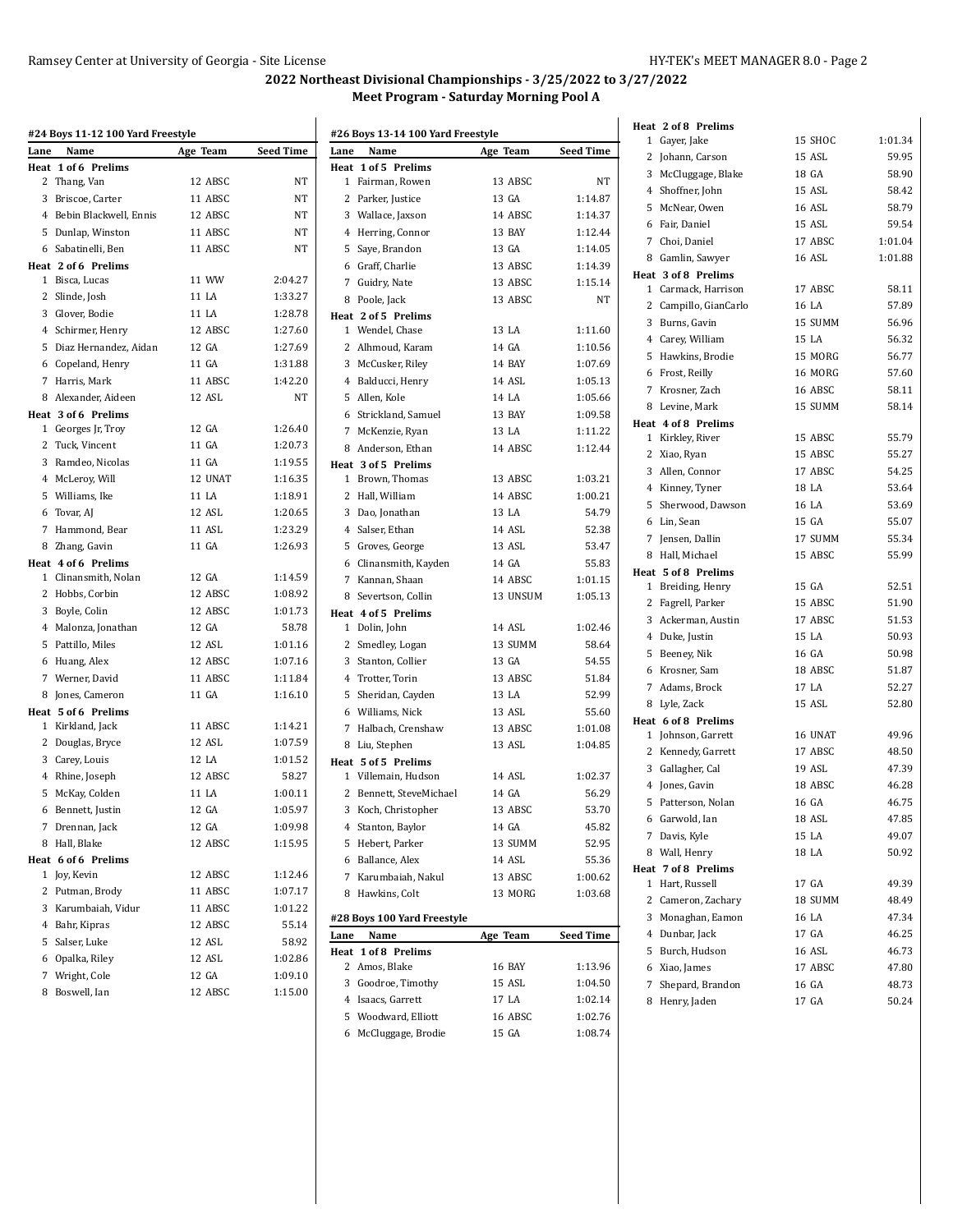## **2022 Northeast Divisional Championships - 3/25/2022 to 3/27/2022 Meet Program - Saturday Morning Pool A**

|      | #24 Boys 11-12 100 Yard Freestyle |          |           |
|------|-----------------------------------|----------|-----------|
| Lane | Name                              | Age Team | Seed Time |
|      | Heat 1 of 6 Prelims               |          |           |
|      | 2 Thang, Van                      | 12 ABSC  | ΝT        |
|      | 3 Briscoe, Carter                 | 11 ABSC  | NT        |
|      | 4 Bebin Blackwell, Ennis          | 12 ABSC  | NT        |
|      | 5 Dunlap, Winston                 | 11 ABSC  | <b>NT</b> |
|      | 6 Sabatinelli, Ben                | 11 ABSC  | NT        |
|      | Heat 2 of 6 Prelims               |          |           |
|      | 1 Bisca, Lucas                    | 11 WW    | 2:04.27   |
|      | 2 Slinde, Josh                    | 11 LA    | 1:33.27   |
|      | 3 Glover, Bodie                   | 11 LA    | 1:28.78   |
|      | 4 Schirmer, Henry                 | 12 ABSC  | 1:27.60   |
|      | 5 Diaz Hernandez, Aidan           | 12 GA    | 1:27.69   |
|      | 6 Copeland, Henry                 | 11 GA    | 1:31.88   |
|      | 7 Harris, Mark                    | 11 ABSC  | 1:42.20   |
|      | 8 Alexander, Aideen               | 12 ASL   | NT        |
|      | Heat 3 of 6 Prelims               |          |           |
|      | 1 Georges Jr, Troy                | 12 GA    | 1:26.40   |
|      | 2 Tuck, Vincent                   | 11 GA    | 1:20.73   |
|      | 3 Ramdeo, Nicolas                 | 11 GA    | 1:19.55   |
|      | 4 McLeroy, Will                   | 12 UNAT  | 1:16.35   |
|      | 5 Williams, Ike                   | 11 LA    | 1:18.91   |
|      | 6 Tovar, AJ                       | 12 ASL   | 1:20.65   |
|      | 7 Hammond, Bear                   | 11 ASL   | 1:23.29   |
|      | 8 Zhang, Gavin                    | 11 GA    | 1:26.93   |
|      | Heat 4 of 6 Prelims               |          |           |
|      | 1 Clinansmith, Nolan              | 12 GA    | 1:14.59   |
|      | 2 Hobbs, Corbin                   | 12 ABSC  | 1:08.92   |
|      | 3 Boyle, Colin                    | 12 ABSC  | 1:01.73   |
|      | 4 Malonza, Jonathan               | 12 GA    | 58.78     |
|      | 5 Pattillo, Miles                 | 12 ASL   | 1:01.16   |
|      | 6 Huang, Alex                     | 12 ABSC  | 1:07.16   |
|      | 7 Werner, David                   | 11 ABSC  | 1:11.84   |
|      | 8 Jones, Cameron                  | 11 GA    | 1:16.10   |
|      | Heat 5 of 6 Prelims               |          |           |
|      | 1 Kirkland, Jack                  | 11 ABSC  | 1:14.21   |
|      | 2 Douglas, Bryce                  | 12 ASL   | 1:07.59   |
|      | 3 Carey, Louis                    | 12 LA    | 1:01.52   |
|      | 4 Rhine, Joseph                   | 12 ABSC  | 58.27     |
|      | 5 McKay, Colden                   | 11 LA    | 1:00.11   |
|      | 6 Bennett, Justin                 | 12 GA    | 1:05.97   |
| 7    | Drennan, Jack                     | 12 GA    | 1:09.98   |
|      | 8 Hall, Blake                     | 12 ABSC  | 1:15.95   |
|      | Heat 6 of 6 Prelims               |          |           |
| 1    | Joy, Kevin                        | 12 ABSC  | 1:12.46   |
|      | 2 Putman, Brody                   | 11 ABSC  | 1:07.17   |
|      | 3 Karumbaiah, Vidur               | 11 ABSC  | 1:01.22   |
|      | 4 Bahr, Kipras                    | 12 ABSC  | 55.14     |
|      | 5 Salser, Luke                    | 12 ASL   | 58.92     |
|      | 6 Opalka, Riley                   | 12 ASL   | 1:02.86   |
|      | 7 Wright, Cole                    | 12 GA    | 1:09.10   |
|      | 8 Boswell, Ian                    | 12 ABSC  | 1:15.00   |
|      |                                   |          |           |

| Lane | #26 Boys 13-14 100 Yard Freestyle<br>Name | Age Team | <b>Seed Time</b> | 1 Gayer, Jake       |
|------|-------------------------------------------|----------|------------------|---------------------|
|      | Heat 1 of 5 Prelims                       |          |                  | 2 Johann, Carson    |
|      | 1 Fairman, Rowen                          | 13 ABSC  | NΤ               | 3 McCluggage, Blak  |
|      | 2 Parker, Justice                         | 13 GA    | 1:14.87          | 4 Shoffner, John    |
|      | 3 Wallace, Jaxson                         | 14 ABSC  | 1:14.37          | 5 McNear, Owen      |
|      | 4 Herring, Connor                         | 13 BAY   | 1:12.44          | 6 Fair, Daniel      |
|      | 5 Saye, Brandon                           | 13 GA    | 1:14.05          | 7 Choi, Daniel      |
|      | 6 Graff, Charlie                          | 13 ABSC  | 1:14.39          | 8 Gamlin, Sawyer    |
|      | 7 Guidry, Nate                            | 13 ABSC  | 1:15.14          | Heat 3 of 8 Prelims |
|      | 8 Poole, Jack                             | 13 ABSC  | NT               | 1 Carmack, Harrisc  |
|      | Heat 2 of 5 Prelims                       |          |                  | 2 Campillo, GianCa  |
|      | 1 Wendel, Chase                           | 13 LA    | 1:11.60          | 3 Burns, Gavin      |
|      | 2 Alhmoud, Karam                          | 14 GA    | 1:10.56          | 4 Carey, William    |
|      | 3 McCusker, Riley                         | 14 BAY   | 1:07.69          | 5 Hawkins, Brodie   |
|      | 4 Balducci, Henry                         | 14 ASL   | 1:05.13          | 6 Frost, Reilly     |
|      | 5 Allen, Kole                             | 14 LA    | 1:05.66          | 7 Krosner, Zach     |
|      | 6 Strickland, Samuel                      | 13 BAY   | 1:09.58          | 8 Levine, Mark      |
|      | 7 McKenzie, Ryan                          | 13 LA    | 1:11.22          | Heat 4 of 8 Prelims |
|      | 8 Anderson, Ethan                         | 14 ABSC  | 1:12.44          | 1 Kirkley, River    |
|      | Heat 3 of 5 Prelims                       |          |                  | 2 Xiao, Ryan        |
|      | 1 Brown, Thomas                           | 13 ABSC  | 1:03.21          | 3 Allen, Connor     |
|      | 2 Hall, William                           | 14 ABSC  | 1:00.21          | 4 Kinney, Tyner     |
|      | 3 Dao, Jonathan                           | 13 LA    | 54.79            | 5 Sherwood, Daws    |
|      | 4 Salser, Ethan                           | 14 ASL   | 52.38            | 6 Lin, Sean         |
|      | 5 Groves, George                          | 13 ASL   | 53.47            | 7 Jensen, Dallin    |
|      | 6 Clinansmith, Kayden                     | 14 GA    | 55.83            | 8 Hall, Michael     |
|      | 7 Kannan, Shaan                           | 14 ABSC  | 1:01.15          | Heat 5 of 8 Prelims |
|      | 8 Severtson, Collin                       | 13 UNSUM | 1:05.13          | 1 Breiding, Henry   |
|      | Heat 4 of 5 Prelims                       |          |                  | 2 Fagrell, Parker   |
|      | 1 Dolin, John                             | 14 ASL   | 1:02.46          | 3 Ackerman, Austir  |
|      | 2 Smedley, Logan                          | 13 SUMM  | 58.64            | 4 Duke, Justin      |
|      | 3 Stanton, Collier                        | 13 GA    | 54.55            | 5 Beeney, Nik       |
|      | 4 Trotter, Torin                          | 13 ABSC  | 51.84            | 6 Krosner, Sam      |
|      | 5 Sheridan, Cayden                        | 13 LA    | 52.99            | 7 Adams, Brock      |
|      | 6 Williams, Nick                          | 13 ASL   | 55.60            | 8 Lyle, Zack        |
|      | 7 Halbach, Crenshaw                       | 13 ABSC  | 1:01.08          | Heat 6 of 8 Prelims |
|      | 8 Liu, Stephen                            | 13 ASL   | 1:04.85          | 1 Johnson, Garrett  |
|      | Heat 5 of 5 Prelims                       |          |                  | 2 Kennedy, Garrett  |
|      | 1 Villemain, Hudson                       | 14 ASL   | 1:02.37          | 3<br>Gallagher, Cal |
|      | 2 Bennett, SteveMichael                   | 14 GA    | 56.29            | 4 Jones, Gavin      |
|      | 3 Koch, Christopher                       | 13 ABSC  | 53.70            | 5 Patterson, Nolan  |
|      | 4 Stanton, Baylor                         | 14 GA    | 45.82            | 6 Garwold, Ian      |
|      | 5 Hebert, Parker                          | 13 SUMM  | 52.95            | 7 Davis, Kyle       |
|      | 6 Ballance, Alex                          | 14 ASL   | 55.36            | 8 Wall, Henry       |
|      | 7 Karumbaiah, Nakul                       | 13 ABSC  | 1:00.62          | Heat 7 of 8 Prelims |
|      | 8 Hawkins, Colt                           | 13 MORG  | 1:03.68          | 1 Hart, Russell     |
|      |                                           |          |                  | 2 Cameron, Zachar   |
|      | #28 Boys 100 Yard Freestyle               |          |                  | 3 Monaghan, Eamo    |
| Lane | Name                                      | Age Team | Seed Time        | 4 Dunbar, Jack      |
|      | Heat 1 of 8 Prelims                       |          |                  | 5 Burch, Hudson     |
|      | 2 Amos, Blake                             | 16 BAY   | 1:13.96          | 6 Xiao, James       |
|      | 3 Goodroe, Timothy                        | 15 ASL   | 1:04.50          | 7 Shepard, Brandor  |
|      | 4 Isaacs, Garrett                         | 17 LA    | 1:02.14          | 8 Henry, Jaden      |
|      | 5 Woodward, Elliott                       | 16 ABSC  | 1:02.76          |                     |
|      | 6 McCluggage, Brodie                      | 15 GA    | 1:08.74          |                     |

| 1 | Gayer, Jake           | 15 SHOC       | 1:01.34 |
|---|-----------------------|---------------|---------|
|   | 2 Johann, Carson      | 15 ASL        | 59.95   |
|   | 3 McCluggage, Blake   | 18 GA         | 58.90   |
|   | 4 Shoffner, John      | 15 ASL        | 58.42   |
|   | 5 McNear, Owen        | <b>16 ASL</b> | 58.79   |
|   | 6 Fair, Daniel        | 15 ASL        | 59.54   |
|   | 7 Choi, Daniel        | 17 ABSC       | 1:01.04 |
|   | 8 Gamlin, Sawyer      | 16 ASL        | 1:01.88 |
|   | Heat 3 of 8 Prelims   |               |         |
|   | 1 Carmack, Harrison   | 17 ABSC       | 58.11   |
|   | 2 Campillo, GianCarlo | 16 LA         | 57.89   |
|   | 3 Burns, Gavin        | 15 SUMM       | 56.96   |
|   | 4 Carey, William      | 15 LA         | 56.32   |
|   | 5 Hawkins, Brodie     | 15 MORG       | 56.77   |
|   | 6 Frost, Reilly       | 16 MORG       | 57.60   |
|   | 7 Krosner, Zach       | 16 ABSC       | 58.11   |
|   | 8 Levine, Mark        | 15 SUMM       | 58.14   |
|   | Heat 4 of 8 Prelims   |               |         |
|   | 1 Kirkley, River      | 15 ABSC       | 55.79   |
|   | 2 Xiao, Ryan          | 15 ABSC       | 55.27   |
|   | 3 Allen, Connor       | 17 ABSC       | 54.25   |
|   | 4 Kinney, Tyner       | 18 LA         | 53.64   |
|   | 5 Sherwood, Dawson    | 16 LA         | 53.69   |
|   | 6 Lin, Sean           | 15 GA         | 55.07   |
|   | 7 Jensen, Dallin      | 17 SUMM       | 55.34   |
|   | 8 Hall, Michael       | 15 ABSC       | 55.99   |
|   | Heat 5 of 8 Prelims   |               |         |
|   | 1 Breiding, Henry     | 15 GA         | 52.51   |
|   | 2 Fagrell, Parker     | 15 ABSC       | 51.90   |
|   | 3 Ackerman, Austin    | 17 ABSC       | 51.53   |
|   | 4 Duke, Justin        | 15 LA         | 50.93   |
|   | 5 Beeney, Nik         | 16 GA         | 50.98   |
|   | 6 Krosner, Sam        | 18 ABSC       | 51.87   |
|   | 7 Adams, Brock        | 17 LA         | 52.27   |
|   | 8 Lyle, Zack          | 15 ASL        | 52.80   |
|   | Heat 6 of 8 Prelims   |               |         |
|   | 1 Johnson, Garrett    | 16 UNAT       | 49.96   |
|   | 2 Kennedy, Garrett    | 17 ABSC       | 48.50   |
|   | 3 Gallagher, Cal      | 19 ASL        | 47.39   |
|   | 4 Jones, Gavin        | 18 ABSC       | 46.28   |
|   | 5 Patterson, Nolan    | 16 GA         | 46.75   |
|   | 6 Garwold, Ian        | 18 ASL        | 47.85   |
| 7 | Davis, Kyle           | 15 LA         | 49.07   |
| 8 | Wall, Henry           | 18 LA         | 50.92   |
|   | Heat 7 of 8 Prelims   |               |         |
| 1 | Hart, Russell         | 17 GA         | 49.39   |
| 2 | Cameron, Zachary      | 18 SUMM       | 48.49   |
|   | 3 Monaghan, Eamon     | 16 LA         | 47.34   |
|   | 4 Dunbar, Jack        | 17 GA         | 46.25   |
|   | 5 Burch, Hudson       | 16 ASL        | 46.73   |
|   | 6 Xiao, James         | 17 ABSC       | 47.80   |
| 7 | Shepard, Brandon      | 16 GA         | 48.73   |
| 8 | Henry, Jaden          | 17 GA         | 50.24   |
|   |                       |               |         |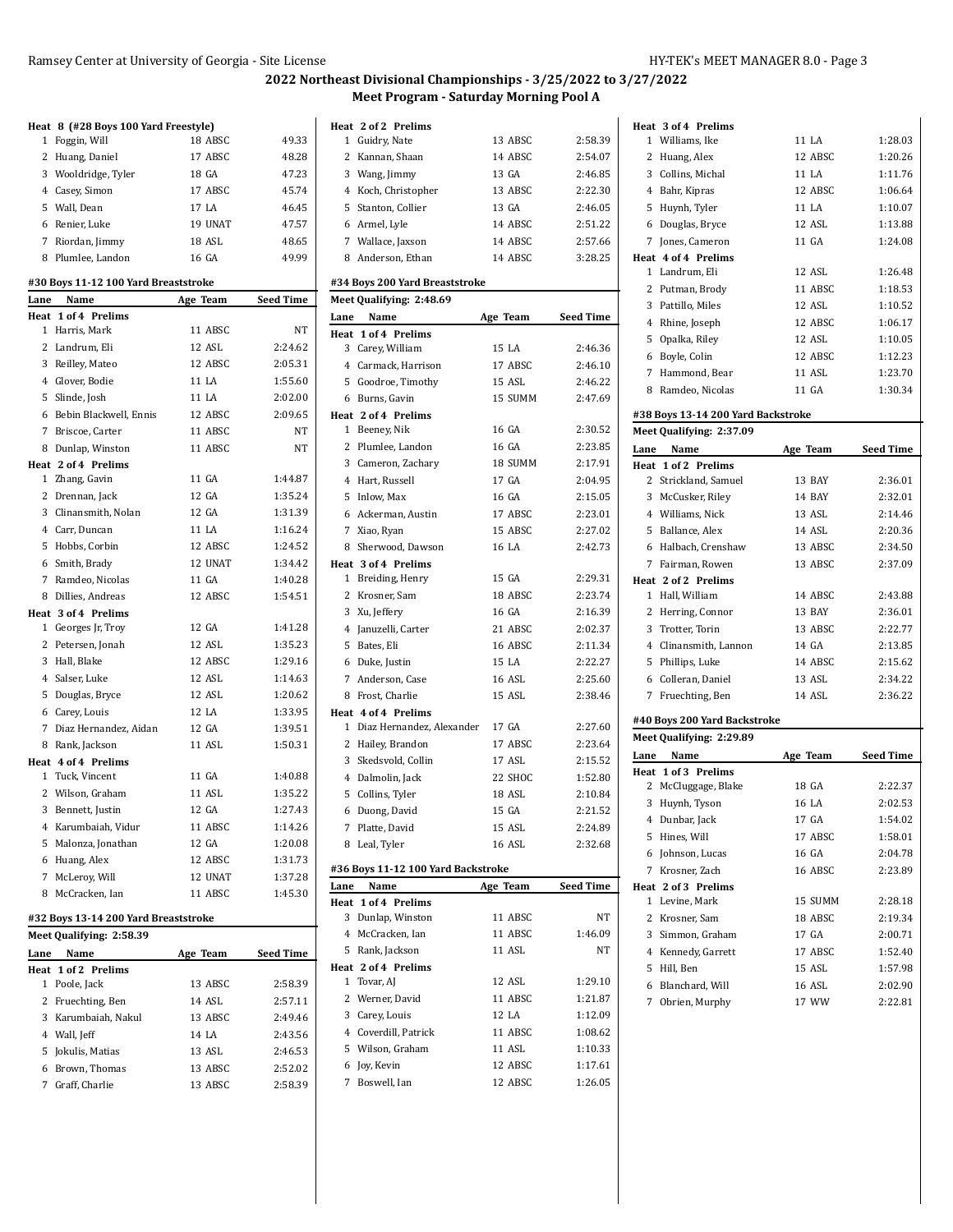### **2022 Northeast Divisional Championships - 3/25/2022 to 3/27/2022 Meet Program - Saturday Morning Pool A**

| 18 ABSC<br>49.33<br>Foggin, Will<br>1<br>$\overline{2}$<br>Huang, Daniel<br>17 ABSC<br>48.28<br>3 Wooldridge, Tyler<br>18 GA<br>47.23<br>17 ABSC<br>45.74<br>4 Casey, Simon<br>5 Wall, Dean<br>17 LA<br>46.45<br>19 UNAT<br>47.57<br>6 Renier, Luke<br>7 Riordan, Jimmy<br>18 ASL<br>48.65<br>8 Plumlee, Landon<br>16 GA<br>49.99<br>#30 Boys 11-12 100 Yard Breaststroke<br>Lane Name<br>Age Team<br><b>Seed Time</b><br>Heat 1 of 4 Prelims<br>1 Harris, Mark<br>11 ABSC<br><b>NT</b><br>12 ASL<br>2 Landrum, Eli<br>2:24.62<br>12 ABSC<br>3<br>Reilley, Mateo<br>2:05.31<br>11 LA<br>1:55.60<br>4 Glover, Bodie<br>5 Slinde, Josh<br>11 LA<br>2:02.00<br>6 Bebin Blackwell, Ennis<br>12 ABSC<br>2:09.65<br>7 Briscoe, Carter<br>11 ABSC<br>NT<br>8 Dunlap, Winston<br>11 ABSC<br><b>NT</b><br>Heat 2 of 4 Prelims<br>1 Zhang, Gavin<br>11 GA<br>1:44.87<br>12 GA<br>2 Drennan, Jack<br>1:35.24<br>3 Clinansmith, Nolan<br>12 GA<br>1:31.39<br>4 Carr, Duncan<br>11 LA<br>1:16.24<br>5 Hobbs, Corbin<br>12 ABSC<br>1:24.52<br>6 Smith, Brady<br>12 UNAT<br>1:34.42<br>Ramdeo, Nicolas<br>11 GA<br>1:40.28<br>$\overline{7}$<br>8 Dillies, Andreas<br>12 ABSC<br>1:54.51<br>Heat 3 of 4 Prelims<br>12 GA<br>1:41.28<br>1 Georges Jr, Troy<br>12 ASL<br>1:35.23<br>$\mathbf{2}$<br>Petersen, Jonah<br>12 ABSC<br>1:29.16<br>3 Hall, Blake<br>12 ASL<br>4 Salser, Luke<br>1:14.63<br>5 Douglas, Bryce<br>12 ASL<br>1:20.62<br>6 Carey, Louis<br>12 LA<br>1:33.95<br>7 Diaz Hernandez, Aidan<br>12 GA<br>1:39.51<br>8 Rank, Jackson<br>11 ASL<br>1:50.31<br>Heat 4 of 4 Prelims<br>11 GA<br>1:40.88<br>Tuck, Vincent<br>1<br>2 Wilson, Graham<br>11 ASL<br>1:35.22<br>12 GA<br>3 Bennett, Justin<br>1:27.43<br>4 Karumbaiah, Vidur<br>11 ABSC<br>1:14.26<br>5 Malonza, Jonathan<br>12 GA<br>1:20.08 |   | Heat 8 (#28 Boys 100 Yard Freestyle) |         |         |
|---------------------------------------------------------------------------------------------------------------------------------------------------------------------------------------------------------------------------------------------------------------------------------------------------------------------------------------------------------------------------------------------------------------------------------------------------------------------------------------------------------------------------------------------------------------------------------------------------------------------------------------------------------------------------------------------------------------------------------------------------------------------------------------------------------------------------------------------------------------------------------------------------------------------------------------------------------------------------------------------------------------------------------------------------------------------------------------------------------------------------------------------------------------------------------------------------------------------------------------------------------------------------------------------------------------------------------------------------------------------------------------------------------------------------------------------------------------------------------------------------------------------------------------------------------------------------------------------------------------------------------------------------------------------------------------------------------------------------------------------------------------------------------------------------|---|--------------------------------------|---------|---------|
|                                                                                                                                                                                                                                                                                                                                                                                                                                                                                                                                                                                                                                                                                                                                                                                                                                                                                                                                                                                                                                                                                                                                                                                                                                                                                                                                                                                                                                                                                                                                                                                                                                                                                                                                                                                                   |   |                                      |         |         |
|                                                                                                                                                                                                                                                                                                                                                                                                                                                                                                                                                                                                                                                                                                                                                                                                                                                                                                                                                                                                                                                                                                                                                                                                                                                                                                                                                                                                                                                                                                                                                                                                                                                                                                                                                                                                   |   |                                      |         |         |
|                                                                                                                                                                                                                                                                                                                                                                                                                                                                                                                                                                                                                                                                                                                                                                                                                                                                                                                                                                                                                                                                                                                                                                                                                                                                                                                                                                                                                                                                                                                                                                                                                                                                                                                                                                                                   |   |                                      |         |         |
|                                                                                                                                                                                                                                                                                                                                                                                                                                                                                                                                                                                                                                                                                                                                                                                                                                                                                                                                                                                                                                                                                                                                                                                                                                                                                                                                                                                                                                                                                                                                                                                                                                                                                                                                                                                                   |   |                                      |         |         |
|                                                                                                                                                                                                                                                                                                                                                                                                                                                                                                                                                                                                                                                                                                                                                                                                                                                                                                                                                                                                                                                                                                                                                                                                                                                                                                                                                                                                                                                                                                                                                                                                                                                                                                                                                                                                   |   |                                      |         |         |
|                                                                                                                                                                                                                                                                                                                                                                                                                                                                                                                                                                                                                                                                                                                                                                                                                                                                                                                                                                                                                                                                                                                                                                                                                                                                                                                                                                                                                                                                                                                                                                                                                                                                                                                                                                                                   |   |                                      |         |         |
|                                                                                                                                                                                                                                                                                                                                                                                                                                                                                                                                                                                                                                                                                                                                                                                                                                                                                                                                                                                                                                                                                                                                                                                                                                                                                                                                                                                                                                                                                                                                                                                                                                                                                                                                                                                                   |   |                                      |         |         |
|                                                                                                                                                                                                                                                                                                                                                                                                                                                                                                                                                                                                                                                                                                                                                                                                                                                                                                                                                                                                                                                                                                                                                                                                                                                                                                                                                                                                                                                                                                                                                                                                                                                                                                                                                                                                   |   |                                      |         |         |
|                                                                                                                                                                                                                                                                                                                                                                                                                                                                                                                                                                                                                                                                                                                                                                                                                                                                                                                                                                                                                                                                                                                                                                                                                                                                                                                                                                                                                                                                                                                                                                                                                                                                                                                                                                                                   |   |                                      |         |         |
|                                                                                                                                                                                                                                                                                                                                                                                                                                                                                                                                                                                                                                                                                                                                                                                                                                                                                                                                                                                                                                                                                                                                                                                                                                                                                                                                                                                                                                                                                                                                                                                                                                                                                                                                                                                                   |   |                                      |         |         |
|                                                                                                                                                                                                                                                                                                                                                                                                                                                                                                                                                                                                                                                                                                                                                                                                                                                                                                                                                                                                                                                                                                                                                                                                                                                                                                                                                                                                                                                                                                                                                                                                                                                                                                                                                                                                   |   |                                      |         |         |
|                                                                                                                                                                                                                                                                                                                                                                                                                                                                                                                                                                                                                                                                                                                                                                                                                                                                                                                                                                                                                                                                                                                                                                                                                                                                                                                                                                                                                                                                                                                                                                                                                                                                                                                                                                                                   |   |                                      |         |         |
|                                                                                                                                                                                                                                                                                                                                                                                                                                                                                                                                                                                                                                                                                                                                                                                                                                                                                                                                                                                                                                                                                                                                                                                                                                                                                                                                                                                                                                                                                                                                                                                                                                                                                                                                                                                                   |   |                                      |         |         |
|                                                                                                                                                                                                                                                                                                                                                                                                                                                                                                                                                                                                                                                                                                                                                                                                                                                                                                                                                                                                                                                                                                                                                                                                                                                                                                                                                                                                                                                                                                                                                                                                                                                                                                                                                                                                   |   |                                      |         |         |
|                                                                                                                                                                                                                                                                                                                                                                                                                                                                                                                                                                                                                                                                                                                                                                                                                                                                                                                                                                                                                                                                                                                                                                                                                                                                                                                                                                                                                                                                                                                                                                                                                                                                                                                                                                                                   |   |                                      |         |         |
|                                                                                                                                                                                                                                                                                                                                                                                                                                                                                                                                                                                                                                                                                                                                                                                                                                                                                                                                                                                                                                                                                                                                                                                                                                                                                                                                                                                                                                                                                                                                                                                                                                                                                                                                                                                                   |   |                                      |         |         |
|                                                                                                                                                                                                                                                                                                                                                                                                                                                                                                                                                                                                                                                                                                                                                                                                                                                                                                                                                                                                                                                                                                                                                                                                                                                                                                                                                                                                                                                                                                                                                                                                                                                                                                                                                                                                   |   |                                      |         |         |
|                                                                                                                                                                                                                                                                                                                                                                                                                                                                                                                                                                                                                                                                                                                                                                                                                                                                                                                                                                                                                                                                                                                                                                                                                                                                                                                                                                                                                                                                                                                                                                                                                                                                                                                                                                                                   |   |                                      |         |         |
|                                                                                                                                                                                                                                                                                                                                                                                                                                                                                                                                                                                                                                                                                                                                                                                                                                                                                                                                                                                                                                                                                                                                                                                                                                                                                                                                                                                                                                                                                                                                                                                                                                                                                                                                                                                                   |   |                                      |         |         |
|                                                                                                                                                                                                                                                                                                                                                                                                                                                                                                                                                                                                                                                                                                                                                                                                                                                                                                                                                                                                                                                                                                                                                                                                                                                                                                                                                                                                                                                                                                                                                                                                                                                                                                                                                                                                   |   |                                      |         |         |
|                                                                                                                                                                                                                                                                                                                                                                                                                                                                                                                                                                                                                                                                                                                                                                                                                                                                                                                                                                                                                                                                                                                                                                                                                                                                                                                                                                                                                                                                                                                                                                                                                                                                                                                                                                                                   |   |                                      |         |         |
|                                                                                                                                                                                                                                                                                                                                                                                                                                                                                                                                                                                                                                                                                                                                                                                                                                                                                                                                                                                                                                                                                                                                                                                                                                                                                                                                                                                                                                                                                                                                                                                                                                                                                                                                                                                                   |   |                                      |         |         |
|                                                                                                                                                                                                                                                                                                                                                                                                                                                                                                                                                                                                                                                                                                                                                                                                                                                                                                                                                                                                                                                                                                                                                                                                                                                                                                                                                                                                                                                                                                                                                                                                                                                                                                                                                                                                   |   |                                      |         |         |
|                                                                                                                                                                                                                                                                                                                                                                                                                                                                                                                                                                                                                                                                                                                                                                                                                                                                                                                                                                                                                                                                                                                                                                                                                                                                                                                                                                                                                                                                                                                                                                                                                                                                                                                                                                                                   |   |                                      |         |         |
|                                                                                                                                                                                                                                                                                                                                                                                                                                                                                                                                                                                                                                                                                                                                                                                                                                                                                                                                                                                                                                                                                                                                                                                                                                                                                                                                                                                                                                                                                                                                                                                                                                                                                                                                                                                                   |   |                                      |         |         |
|                                                                                                                                                                                                                                                                                                                                                                                                                                                                                                                                                                                                                                                                                                                                                                                                                                                                                                                                                                                                                                                                                                                                                                                                                                                                                                                                                                                                                                                                                                                                                                                                                                                                                                                                                                                                   |   |                                      |         |         |
|                                                                                                                                                                                                                                                                                                                                                                                                                                                                                                                                                                                                                                                                                                                                                                                                                                                                                                                                                                                                                                                                                                                                                                                                                                                                                                                                                                                                                                                                                                                                                                                                                                                                                                                                                                                                   |   |                                      |         |         |
|                                                                                                                                                                                                                                                                                                                                                                                                                                                                                                                                                                                                                                                                                                                                                                                                                                                                                                                                                                                                                                                                                                                                                                                                                                                                                                                                                                                                                                                                                                                                                                                                                                                                                                                                                                                                   |   |                                      |         |         |
|                                                                                                                                                                                                                                                                                                                                                                                                                                                                                                                                                                                                                                                                                                                                                                                                                                                                                                                                                                                                                                                                                                                                                                                                                                                                                                                                                                                                                                                                                                                                                                                                                                                                                                                                                                                                   |   |                                      |         |         |
|                                                                                                                                                                                                                                                                                                                                                                                                                                                                                                                                                                                                                                                                                                                                                                                                                                                                                                                                                                                                                                                                                                                                                                                                                                                                                                                                                                                                                                                                                                                                                                                                                                                                                                                                                                                                   |   |                                      |         |         |
|                                                                                                                                                                                                                                                                                                                                                                                                                                                                                                                                                                                                                                                                                                                                                                                                                                                                                                                                                                                                                                                                                                                                                                                                                                                                                                                                                                                                                                                                                                                                                                                                                                                                                                                                                                                                   |   |                                      |         |         |
|                                                                                                                                                                                                                                                                                                                                                                                                                                                                                                                                                                                                                                                                                                                                                                                                                                                                                                                                                                                                                                                                                                                                                                                                                                                                                                                                                                                                                                                                                                                                                                                                                                                                                                                                                                                                   |   |                                      |         |         |
|                                                                                                                                                                                                                                                                                                                                                                                                                                                                                                                                                                                                                                                                                                                                                                                                                                                                                                                                                                                                                                                                                                                                                                                                                                                                                                                                                                                                                                                                                                                                                                                                                                                                                                                                                                                                   |   |                                      |         |         |
|                                                                                                                                                                                                                                                                                                                                                                                                                                                                                                                                                                                                                                                                                                                                                                                                                                                                                                                                                                                                                                                                                                                                                                                                                                                                                                                                                                                                                                                                                                                                                                                                                                                                                                                                                                                                   |   |                                      |         |         |
|                                                                                                                                                                                                                                                                                                                                                                                                                                                                                                                                                                                                                                                                                                                                                                                                                                                                                                                                                                                                                                                                                                                                                                                                                                                                                                                                                                                                                                                                                                                                                                                                                                                                                                                                                                                                   |   |                                      |         |         |
|                                                                                                                                                                                                                                                                                                                                                                                                                                                                                                                                                                                                                                                                                                                                                                                                                                                                                                                                                                                                                                                                                                                                                                                                                                                                                                                                                                                                                                                                                                                                                                                                                                                                                                                                                                                                   |   |                                      |         |         |
|                                                                                                                                                                                                                                                                                                                                                                                                                                                                                                                                                                                                                                                                                                                                                                                                                                                                                                                                                                                                                                                                                                                                                                                                                                                                                                                                                                                                                                                                                                                                                                                                                                                                                                                                                                                                   |   |                                      |         |         |
|                                                                                                                                                                                                                                                                                                                                                                                                                                                                                                                                                                                                                                                                                                                                                                                                                                                                                                                                                                                                                                                                                                                                                                                                                                                                                                                                                                                                                                                                                                                                                                                                                                                                                                                                                                                                   |   |                                      |         |         |
|                                                                                                                                                                                                                                                                                                                                                                                                                                                                                                                                                                                                                                                                                                                                                                                                                                                                                                                                                                                                                                                                                                                                                                                                                                                                                                                                                                                                                                                                                                                                                                                                                                                                                                                                                                                                   |   |                                      |         |         |
|                                                                                                                                                                                                                                                                                                                                                                                                                                                                                                                                                                                                                                                                                                                                                                                                                                                                                                                                                                                                                                                                                                                                                                                                                                                                                                                                                                                                                                                                                                                                                                                                                                                                                                                                                                                                   |   |                                      |         |         |
|                                                                                                                                                                                                                                                                                                                                                                                                                                                                                                                                                                                                                                                                                                                                                                                                                                                                                                                                                                                                                                                                                                                                                                                                                                                                                                                                                                                                                                                                                                                                                                                                                                                                                                                                                                                                   |   |                                      |         |         |
|                                                                                                                                                                                                                                                                                                                                                                                                                                                                                                                                                                                                                                                                                                                                                                                                                                                                                                                                                                                                                                                                                                                                                                                                                                                                                                                                                                                                                                                                                                                                                                                                                                                                                                                                                                                                   |   |                                      |         |         |
|                                                                                                                                                                                                                                                                                                                                                                                                                                                                                                                                                                                                                                                                                                                                                                                                                                                                                                                                                                                                                                                                                                                                                                                                                                                                                                                                                                                                                                                                                                                                                                                                                                                                                                                                                                                                   |   |                                      |         |         |
|                                                                                                                                                                                                                                                                                                                                                                                                                                                                                                                                                                                                                                                                                                                                                                                                                                                                                                                                                                                                                                                                                                                                                                                                                                                                                                                                                                                                                                                                                                                                                                                                                                                                                                                                                                                                   | 6 | Huang, Alex                          | 12 ABSC | 1:31.73 |
| $\overline{7}$<br>McLeroy, Will<br>12 UNAT<br>1:37.28                                                                                                                                                                                                                                                                                                                                                                                                                                                                                                                                                                                                                                                                                                                                                                                                                                                                                                                                                                                                                                                                                                                                                                                                                                                                                                                                                                                                                                                                                                                                                                                                                                                                                                                                             |   |                                      |         |         |
| 1:45.30<br>8 McCracken, Ian<br>11 ABSC                                                                                                                                                                                                                                                                                                                                                                                                                                                                                                                                                                                                                                                                                                                                                                                                                                                                                                                                                                                                                                                                                                                                                                                                                                                                                                                                                                                                                                                                                                                                                                                                                                                                                                                                                            |   |                                      |         |         |
|                                                                                                                                                                                                                                                                                                                                                                                                                                                                                                                                                                                                                                                                                                                                                                                                                                                                                                                                                                                                                                                                                                                                                                                                                                                                                                                                                                                                                                                                                                                                                                                                                                                                                                                                                                                                   |   |                                      |         |         |

#### **#32 Boys 13-14 200 Yard Breaststroke**

|      | Meet Qualifying: 2:58.39 |          |                  |
|------|--------------------------|----------|------------------|
| Lane | Name                     | Age Team | <b>Seed Time</b> |
|      | Heat 1 of 2 Prelims      |          |                  |
|      | 1 Poole, Jack            | 13 ABSC  | 2:58.39          |
|      | 2 Fruechting, Ben        | 14 ASL   | 2:57.11          |
|      | 3 Karumbaiah, Nakul      | 13 ABSC  | 2:49.46          |
|      | 4 Wall, Jeff             | 14 I.A   | 2:43.56          |
|      | 5 Jokulis, Matias        | 13 ASL   | 2:46.53          |
| 6    | Brown, Thomas            | 13 ABSC  | 2:52.02          |
|      | Graff. Charlie           | 13 ABSC  | 2:58.39          |

|              | Heat 2 of 2 Prelims                |          |                  |
|--------------|------------------------------------|----------|------------------|
|              | 1 Guidry, Nate                     | 13 ABSC  | 2:58.39          |
|              | 2 Kannan, Shaan                    | 14 ABSC  | 2:54.07          |
|              | 3 Wang, Jimmy                      | 13 GA    | 2:46.85          |
|              | 4 Koch, Christopher                | 13 ABSC  | 2:22.30          |
|              | 5 Stanton, Collier                 | 13 GA    | 2:46.05          |
|              | 6 Armel, Lyle                      | 14 ABSC  | 2:51.22          |
|              | 7 Wallace, Jaxson                  | 14 ABSC  | 2:57.66          |
|              | 8 Anderson, Ethan                  | 14 ABSC  | 3:28.25          |
|              |                                    |          |                  |
|              | #34 Boys 200 Yard Breaststroke     |          |                  |
|              | Meet Qualifying: 2:48.69           |          |                  |
| Lane         | Name                               | Age Team | Seed Time        |
|              | Heat 1 of 4 Prelims                |          |                  |
|              | 3 Carey, William                   | 15 LA    | 2:46.36          |
|              | 4 Carmack, Harrison                | 17 ABSC  | 2:46.10          |
|              | 5 Goodroe, Timothy                 | 15 ASL   | 2:46.22          |
|              | 6 Burns, Gavin                     | 15 SUMM  | 2:47.69          |
|              | Heat 2 of 4 Prelims                |          |                  |
|              | 1 Beeney, Nik                      | 16 GA    | 2:30.52          |
|              | 2 Plumlee, Landon                  | 16 GA    | 2:23.85          |
|              | 3 Cameron, Zachary                 | 18 SUMM  | 2:17.91          |
|              | 4 Hart, Russell                    | 17 GA    | 2:04.95          |
|              | 5 Inlow, Max                       | 16 GA    | 2:15.05          |
|              | 6 Ackerman, Austin                 | 17 ABSC  | 2:23.01          |
|              | 7 Xiao, Ryan                       | 15 ABSC  | 2:27.02          |
|              | 8 Sherwood, Dawson                 | 16 LA    | 2:42.73          |
|              | Heat 3 of 4 Prelims                |          |                  |
|              | 1 Breiding, Henry                  | 15 GA    | 2:29.31          |
|              | 2 Krosner, Sam                     | 18 ABSC  | 2:23.74          |
|              | 3 Xu, Jeffery                      | 16 GA    | 2:16.39          |
|              | 4 Januzelli, Carter                | 21 ABSC  | 2:02.37          |
|              | 5 Bates, Eli                       | 16 ABSC  | 2:11.34          |
|              | 6 Duke, Justin                     | 15 LA    | 2:22.27          |
|              | 7 Anderson, Case                   | 16 ASL   | 2:25.60          |
|              | 8 Frost, Charlie                   | 15 ASL   | 2:38.46          |
|              | Heat 4 of 4 Prelims                |          |                  |
|              | 1 Diaz Hernandez, Alexander        | 17 GA    | 2:27.60          |
|              | 2 Hailey, Brandon                  | 17 ABSC  | 2:23.64          |
|              | 3 Skedsvold, Collin                | 17 ASL   | 2:15.52          |
|              |                                    |          |                  |
|              | 4 Dalmolin, Jack                   | 22 SHOC  | 1:52.80          |
|              | 5 Collins, Tyler                   | 18 ASL   | 2:10.84          |
| 6            | Duong, David                       | 15 GA    | 2:21.52          |
|              | 7 Platte, David                    | 15 ASL   | 2:24.89          |
| 8            | Leal, Tyler                        | 16 ASL   | 2:32.68          |
|              | #36 Boys 11-12 100 Yard Backstroke |          |                  |
| Lane         | Name                               | Age Team | <b>Seed Time</b> |
| Heat         | 1 of 4 Prelims                     |          |                  |
| 3            | Dunlap, Winston                    | 11 ABSC  | NΤ               |
|              | 4 McCracken, Ian                   | 11 ABSC  | 1:46.09          |
|              | 5 Rank, Jackson                    | 11 ASL   | NΤ               |
|              | Heat 2 of 4 Prelims                |          |                  |
| $\mathbf{1}$ | Tovar, AJ                          | 12 ASL   | 1:29.10          |
|              | 2 Werner, David                    | 11 ABSC  | 1:21.87          |
|              | 3 Carey, Louis                     | 12 LA    | 1:12.09          |
|              | 4 Coverdill, Patrick               | 11 ABSC  | 1:08.62          |
|              | 5 Wilson, Graham                   | 11 ASL   | 1:10.33          |
|              | 6 Joy, Kevin                       | 12 ABSC  | 1:17.61          |
|              | 7 Boswell, Ian                     | 12 ABSC  | 1:26.05          |

| Heat 3 of 4 Prelims                 |                  |                    |
|-------------------------------------|------------------|--------------------|
| 1 Williams, Ike                     | 11 LA            | 1:28.03            |
| 2 Huang, Alex                       | 12 ABSC          | 1:20.26            |
| 3 Collins. Michal                   | 11 LA            | 1:11.76            |
| 4 Bahr, Kipras                      | 12 ABSC          | 1:06.64            |
| 5<br>Huynh, Tyler                   | 11 LA            | 1:10.07            |
| Douglas, Bryce<br>6                 | 12 ASL           | 1:13.88            |
| 7 Jones, Cameron                    | 11 GA            | 1:24.08            |
| Heat 4 of 4 Prelims                 |                  |                    |
| Landrum, Eli<br>1                   | 12 ASL           | 1:26.48            |
| 2<br>Putman, Brody                  | 11 ABSC          | 1:18.53            |
| 3 Pattillo, Miles                   | 12 ASL           | 1:10.52            |
| 4 Rhine, Joseph                     | 12 ABSC          | 1:06.17            |
| 5 Opalka, Riley                     | 12 ASL           | 1:10.05            |
| 6 Boyle, Colin                      | 12 ABSC          | 1:12.23            |
| 7 Hammond, Bear                     | 11 ASL           | 1:23.70            |
| 8 Ramdeo, Nicolas                   | 11 GA            | 1:30.34            |
| #38 Boys 13-14 200 Yard Backstroke  |                  |                    |
| Meet Qualifying: 2:37.09            |                  |                    |
| Name<br>Lane                        | Age Team         | Seed Time          |
| Heat 1 of 2 Prelims                 |                  |                    |
| Strickland, Samuel<br>2             | <b>13 BAY</b>    | 2:36.01            |
| 3<br>McCusker, Riley                | 14 BAY           | 2:32.01            |
| 4 Williams, Nick                    | 13 ASL           | 2:14.46            |
| 5 Ballance, Alex                    | 14 ASL           | 2:20.36            |
| 6 Halbach, Crenshaw                 | 13 ABSC          | 2:34.50            |
| 7 Fairman, Rowen                    | 13 ABSC          | 2:37.09            |
| Heat 2 of 2 Prelims                 |                  |                    |
| 1 Hall, William                     | 14 ABSC          | 2:43.88            |
| 2 Herring, Connor                   | 13 BAY           | 2:36.01<br>2:22.77 |
| 3 Trotter, Torin                    | 13 ABSC<br>14 GA |                    |
| 4 Clinansmith, Lannon               |                  | 2:13.85            |
| Phillips, Luke<br>5                 | 14 ABSC          | 2:15.62            |
| 6 Colleran, Daniel                  | 13 ASL           | 2:34.22            |
| 7<br>Fruechting, Ben                | 14 ASL           | 2:36.22            |
| #40 Boys 200 Yard Backstroke        |                  |                    |
| Meet Qualifying: 2:29.89            |                  |                    |
| Name<br>Lane                        | Age Team         | <b>Seed Time</b>   |
| Heat 1 of 3 Prelims                 |                  |                    |
| 2<br>McCluggage, Blake              | 18 GA            | 2:22.37            |
| 3<br>Huynh, Tyson                   | 16 LA            | 2:02.53            |
| 4<br>Dunbar, Jack                   | 17 GA            | 1:54.02            |
| 5<br>Hines, Will                    | 17 ABSC          | 1:58.01            |
| 6 Johnson, Lucas                    | 16 GA            | 2:04.78            |
| 7 Krosner, Zach                     | 16 ABSC          | 2:23.89            |
| Heat 2 of 3 Prelims<br>Levine, Mark |                  |                    |
| 1<br>$\overline{c}$                 | 15 SUMM          | 2:28.18            |
| Krosner, Sam                        | 18 ABSC<br>17 GA | 2:19.34            |
| 3 Simmon, Graham                    | 17 ABSC          | 2:00.71            |
| 4 Kennedy, Garrett                  | 15 ASL           | 1:52.40            |
| 5 Hill, Ben<br>6 Blanchard, Will    |                  | 1:57.98            |
|                                     |                  |                    |
| 7 Obrien, Murphy                    | 16 ASL<br>17 WW  | 2:02.90<br>2:22.81 |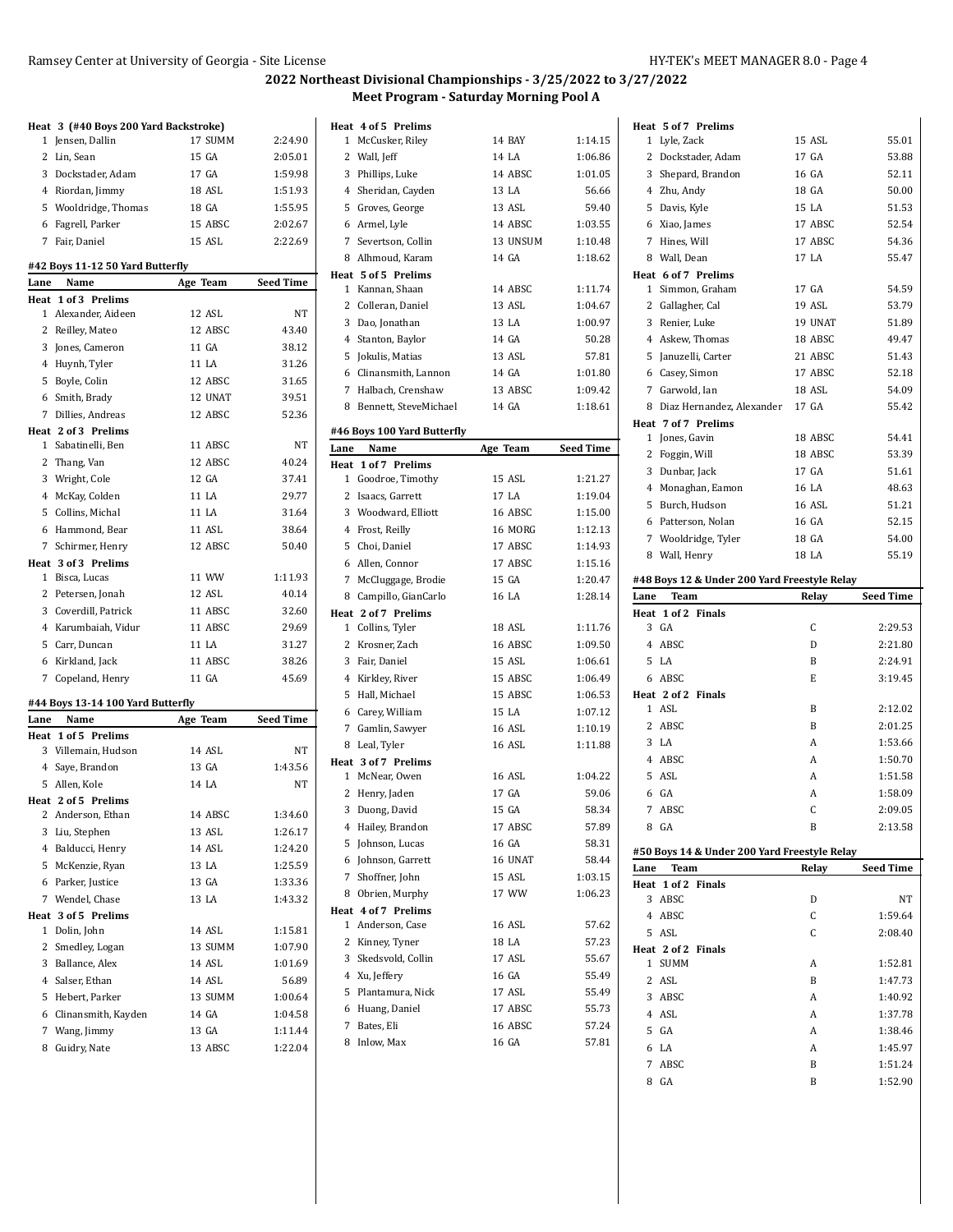#### **2022 Northeast Divisional Championships - 3/25/2022 to 3/27/2022 Meet Program - Saturday Morning Pool A**

|      | Heat 3 (#40 Boys 200 Yard Backstroke) |                  |                    |
|------|---------------------------------------|------------------|--------------------|
| 1    | Jensen, Dallin                        | 17 SUMM          | 2:24.90            |
|      | 2 Lin, Sean                           | 15 GA            | 2:05.01            |
|      | 3 Dockstader, Adam                    | 17 GA            | 1:59.98            |
|      | 4 Riordan, Jimmy                      | 18 ASL           | 1:51.93            |
|      | 5 Wooldridge, Thomas                  | 18 GA            | 1:55.95            |
|      | 6 Fagrell, Parker                     | 15 ABSC          | 2:02.67            |
|      | 7 Fair, Daniel                        | 15 ASL           | 2:22.69            |
|      | #42 Boys 11-12 50 Yard Butterfly      |                  |                    |
| Lane | Name                                  | Age Team         | <b>Seed Time</b>   |
| Heat | 1 of 3 Prelims                        |                  |                    |
| 1    | Alexander, Aideen                     | 12 ASL           | NΤ                 |
|      | 2 Reilley, Mateo                      | 12 ABSC          | 43.40              |
|      | 3 Jones, Cameron                      | 11 GA            | 38.12              |
|      | 4 Huynh, Tyler                        | 11 LA            | 31.26              |
|      | 5 Boyle, Colin                        | 12 ABSC          | 31.65              |
|      | 6 Smith, Brady                        | 12 UNAT          | 39.51              |
|      | 7 Dillies, Andreas                    | 12 ABSC          | 52.36              |
|      | Heat 2 of 3 Prelims                   |                  |                    |
| 1    | Sabatinelli, Ben                      | 11 ABSC          | NT                 |
|      | 2 Thang, Van                          | 12 ABSC          | 40.24              |
|      | 3 Wright, Cole                        | 12 GA            | 37.41              |
|      | 4 McKay, Colden                       | 11 LA            | 29.77              |
|      | 5 Collins, Michal                     | 11 LA            | 31.64              |
|      | 6 Hammond, Bear                       | 11 ASL           | 38.64              |
|      | 7 Schirmer, Henry                     | 12 ABSC          | 50.40              |
|      | Heat 3 of 3 Prelims                   |                  |                    |
| 1    | Bisca, Lucas                          | 11 WW            | 1:11.93            |
|      |                                       |                  |                    |
|      | 2 Petersen, Jonah                     | 12 ASL           | 40.14              |
|      | 3 Coverdill, Patrick                  | 11 ABSC          | 32.60              |
|      | 4 Karumbaiah, Vidur                   | 11 ABSC          | 29.69              |
|      | 5 Carr, Duncan                        | 11 LA            | 31.27              |
|      | 6 Kirkland, Jack                      | 11 ABSC          | 38.26              |
|      | 7 Copeland, Henry                     | 11 GA            | 45.69              |
|      | #44 Boys 13-14 100 Yard Butterfly     |                  |                    |
|      | Lane Name                             | Age Team         | <b>Seed Time</b>   |
|      | Heat 1 of 5 Prelims                   |                  |                    |
|      | 3 Villemain, Hudson                   | 14 ASL           | NT                 |
|      | 4 Saye, Brandon                       | 13 GA            | 1:43.56            |
|      | 5 Allen, Kole                         | 14 LA            | NT                 |
|      | Heat 2 of 5 Prelims                   |                  |                    |
|      | 2 Anderson, Ethan                     | 14 ABSC          | 1:34.60            |
|      | 3 Liu, Stephen                        | 13 ASL           | 1:26.17            |
|      | 4 Balducci, Henry                     | 14 ASL           | 1:24.20            |
|      | 5 McKenzie, Ryan                      | 13 LA            | 1:25.59            |
|      | 6 Parker, Justice                     | 13 GA            | 1:33.36            |
|      | 7 Wendel, Chase                       | 13 LA            | 1:43.32            |
|      | Heat 3 of 5 Prelims                   |                  |                    |
|      | 1 Dolin, John                         | 14 ASL           | 1:15.81            |
|      | 2 Smedley, Logan                      | 13 SUMM          | 1:07.90            |
|      | 3 Ballance, Alex                      | 14 ASL           | 1:01.69            |
|      | 4 Salser, Ethan                       | 14 ASL           | 56.89              |
|      | 5 Hebert, Parker                      | 13 SUMM          | 1:00.64            |
|      | 6 Clinansmith, Kayden                 | 14 GA            | 1:04.58            |
| 8    | 7 Wang, Jimmy<br>Guidry, Nate         | 13 GA<br>13 ABSC | 1:11.44<br>1:22.04 |

| Heat 4 of 5 Prelims<br>1<br>McCusker, Riley | 14 BAY   | 1:14.15            |
|---------------------------------------------|----------|--------------------|
|                                             | 14 LA    | 1:06.86            |
| 2 Wall, Jeff<br>3                           | 14 ABSC  | 1:01.05            |
| Phillips, Luke<br>4 Sheridan, Cayden        | 13 LA    | 56.66              |
| 5 Groves, George                            | 13 ASL   | 59.40              |
| 6 Armel, Lyle                               | 14 ABSC  | 1:03.55            |
|                                             | 13 UNSUM |                    |
| 7 Severtson, Collin                         | 14 GA    | 1:10.48<br>1:18.62 |
| 8<br>Alhmoud, Karam<br>Heat 5 of 5 Prelims  |          |                    |
| $\mathbf{1}$<br>Kannan, Shaan               | 14 ABSC  | 1:11.74            |
| $\overline{2}$<br>Colleran, Daniel          | 13 ASL   | 1:04.67            |
| 3 Dao, Jonathan                             | 13 LA    | 1:00.97            |
| 4 Stanton, Baylor                           | 14 GA    | 50.28              |
| 5<br>Jokulis, Matias                        | 13 ASL   | 57.81              |
| 6<br>Clinansmith, Lannon                    | 14 GA    | 1:01.80            |
| 7 Halbach, Crenshaw                         | 13 ABSC  | 1:09.42            |
| Bennett, SteveMichael<br>8                  | 14 GA    | 1:18.61            |
|                                             |          |                    |
| #46 Boys 100 Yard Butterfly                 |          |                    |
| Name<br>Lane                                | Age Team | <b>Seed Time</b>   |
| Heat 1 of 7 Prelims                         |          |                    |
| Goodroe, Timothy<br>$\mathbf{1}$            | 15 ASL   | 1:21.27            |
| 2 Isaacs, Garrett                           | 17 LA    | 1:19.04            |
| 3 Woodward, Elliott                         | 16 ABSC  | 1:15.00            |
| 4<br>Frost, Reilly                          | 16 MORG  | 1:12.13            |
| 5 Choi, Daniel                              | 17 ABSC  | 1:14.93            |
| 6 Allen, Connor                             | 17 ABSC  | 1:15.16            |
| 7 McCluggage, Brodie                        | 15 GA    | 1:20.47            |
| 8 Campillo, GianCarlo                       | 16 LA    | 1:28.14            |
| Heat 2 of 7 Prelims<br>1 Collins, Tyler     | 18 ASL   | 1:11.76            |
| 2 Krosner, Zach                             | 16 ABSC  | 1:09.50            |
| 3<br>Fair, Daniel                           | 15 ASL   | 1:06.61            |
| $\overline{4}$<br>Kirkley, River            | 15 ABSC  | 1:06.49            |
| Hall, Michael<br>5                          | 15 ABSC  | 1:06.53            |
| 6 Carey, William                            | 15 LA    | 1:07.12            |
| 7 Gamlin, Sawyer                            | 16 ASL   | 1:10.19            |
| 8<br>Leal, Tyler                            | 16 ASL   | 1:11.88            |
| Heat 3 of 7 Prelims                         |          |                    |
| 1 McNear, Owen                              | 16 ASL   | 1:04.22            |
| 2<br>Henry, Jaden                           | 17 GA    | 59.06              |
| 3 Duong, David                              | 15 GA    | 58.34              |
| 4 Hailey, Brandon                           | 17 ABSC  | 57.89              |
| 5<br>Johnson, Lucas                         | 16 GA    | 58.31              |
| 6 Johnson, Garrett                          | 16 UNAT  | 58.44              |
| 7 Shoffner, John                            | 15 ASL   | 1:03.15            |
| 8 Obrien, Murphy                            | 17 WW    | 1:06.23            |
| Heat 4 of 7 Prelims                         |          |                    |
| 1 Anderson, Case                            | 16 ASL   | 57.62              |
| 2 Kinney, Tyner                             | 18 LA    | 57.23              |
| 3 Skedsvold, Collin                         | 17 ASL   | 55.67              |
| 4 Xu, Jeffery                               | 16 GA    | 55.49              |
| 5 Plantamura, Nick                          | 17 ASL   | 55.49              |
| 6 Huang, Daniel                             | 17 ABSC  | 55.73              |
| 7 Bates, Eli                                | 16 ABSC  | 57.24              |
| Inlow, Max<br>8                             | 16 GA    | 57.81              |
|                                             |          |                    |
|                                             |          |                    |

|              | Heat 5 of 7 Prelims                          |         |                  |
|--------------|----------------------------------------------|---------|------------------|
| 1            | Lyle, Zack                                   | 15 ASL  | 55.01            |
|              | 2 Dockstader, Adam                           | 17 GA   | 53.88            |
|              | 3 Shepard, Brandon                           | 16 GA   | 52.11            |
|              | 4 Zhu, Andy                                  | 18 GA   | 50.00            |
|              | 5 Davis, Kyle                                | 15 LA   | 51.53            |
|              | 6 Xiao, James                                | 17 ABSC | 52.54            |
| 7            | Hines, Will                                  | 17 ABSC | 54.36            |
|              | 8 Wall, Dean                                 | 17 LA   | 55.47            |
|              | Heat 6 of 7 Prelims                          |         |                  |
| $\mathbf{1}$ | Simmon, Graham                               | 17 GA   | 54.59            |
|              | 2 Gallagher, Cal                             | 19 ASL  | 53.79            |
|              | 3 Renier, Luke                               | 19 UNAT | 51.89            |
|              | 4 Askew, Thomas                              | 18 ABSC | 49.47            |
|              | 5 Januzelli, Carter                          | 21 ABSC | 51.43            |
|              | 6 Casey, Simon                               | 17 ABSC | 52.18            |
| 7            | Garwold, Ian                                 | 18 ASL  | 54.09            |
| 8            | Diaz Hernandez, Alexander                    | 17 GA   | 55.42            |
|              | Heat 7 of 7 Prelims                          |         |                  |
|              | 1 Jones, Gavin                               | 18 ABSC | 54.41            |
| 2            | Foggin, Will                                 | 18 ABSC | 53.39            |
|              | 3 Dunbar, Jack                               | 17 GA   | 51.61            |
|              | 4 Monaghan, Eamon                            | 16 LA   | 48.63            |
|              | 5 Burch, Hudson                              | 16 ASL  | 51.21            |
|              | 6 Patterson, Nolan                           | 16 GA   | 52.15            |
|              | 7 Wooldridge, Tyler                          | 18 GA   | 54.00            |
|              | 8 Wall, Henry                                | 18 LA   | 55.19            |
|              |                                              |         |                  |
|              | #48 Boys 12 & Under 200 Yard Freestyle Relay |         |                  |
|              |                                              |         |                  |
| Lane         | <b>Team</b>                                  | Relay   | <b>Seed Time</b> |
|              | Heat 1 of 2 Finals                           |         |                  |
| 3            | GA                                           | C       | 2:29.53          |
|              | 4 ABSC                                       | D       | 2:21.80          |
|              | 5 LA                                         | B       | 2:24.91          |
|              | 6 ABSC                                       | E       | 3:19.45          |
|              | Heat 2 of 2 Finals                           |         |                  |
|              | 1 ASL                                        | B       | 2:12.02          |
|              | 2 ABSC                                       | B       | 2:01.25          |
|              | 3 <sub>1</sub> A                             | A       | 1:53.66          |
|              | 4 ABSC                                       | A       | 1:50.70          |
|              | $5$ ASL                                      | A       | 1:51.58          |
|              | 6 GA                                         | A       | 1:58.09          |
|              | 7 ABSC                                       | C       | 2:09.05          |
|              | 8 GA                                         | B       | 2:13.58          |
|              |                                              |         |                  |
|              | #50 Boys 14 & Under 200 Yard Freestyle Relay |         |                  |
| Lane         | Team<br>Heat 1 of 2 Finals                   | Relay   | <b>Seed Time</b> |
|              | 3 ABSC                                       | D       | NΤ               |
|              | 4 ABSC                                       | C       | 1:59.64          |
|              | 5 ASL                                        | C       | 2:08.40          |
|              | Heat 2 of 2 Finals                           |         |                  |
|              | 1 SUMM                                       | A       | 1:52.81          |
|              | 2 ASL                                        | B       | 1:47.73          |
|              | 3 ABSC                                       | A       | 1:40.92          |
|              | 4 ASL                                        | A       | 1:37.78          |
|              | 5 GA                                         | А       | 1:38.46          |
|              | 6 LA                                         | A       | 1:45.97          |
| 7            | ABSC                                         | B       | 1:51.24          |
| 8            | GA                                           | B       | 1:52.90          |